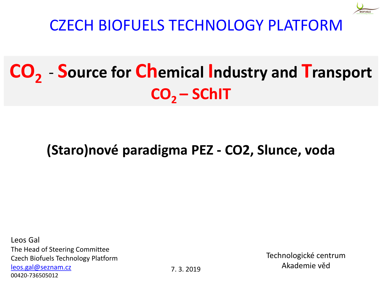

CZECH BIOFUELS TECHNOLOGY PLATFORM

## **CO<sup>2</sup>** - **Source for Chemical Industry and Transport CO2 – SChIT**

### **(Staro)nové paradigma PEZ - CO2, Slunce, voda**

Leos Gal The Head of Steering Committee Czech Biofuels Technology Platform [leos.gal@seznam.cz](mailto:leos.gal@seznam.cz) 00420-736505012

7. 3. 2019

Technologické centrum Akademie věd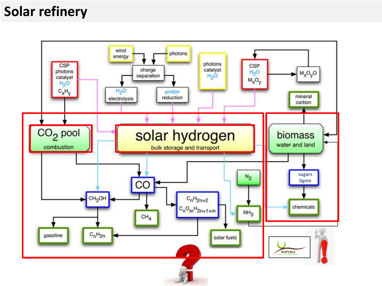### **Solar refinery**

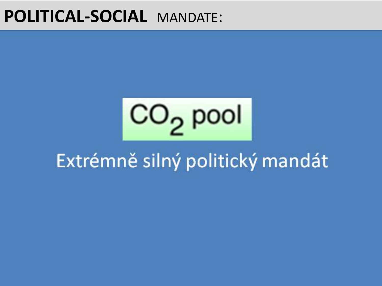### **POLITICAL-SOCIAL** MANDATE:

 $CO<sub>2</sub>$  pool **A clean planet for all** 28.11.2018

#### **KEY FACTOR** to cut emissions **EXUETHE SHIP DOILLICKY FILE Non-ETS sectors** by **30%** - translated into individual binding targets EU members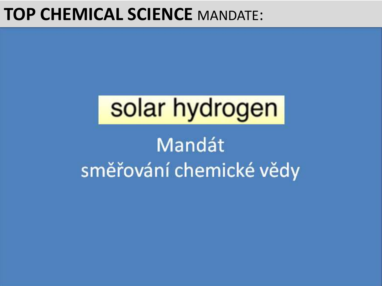## **TOP CHEMICAL SCIENCE** MANDATE:

# **solar hydrogen**

### **Mandát sustainable chemical production** to **allow the substitution of fossil fuels + impact on GHG reduction.** To accomplish a sustainable renewable energy supply, **energy storage is essential**. A **long-time storage strategy is necessary** to balance **not only the daily demand cycles, but also seasonal fluctuation**.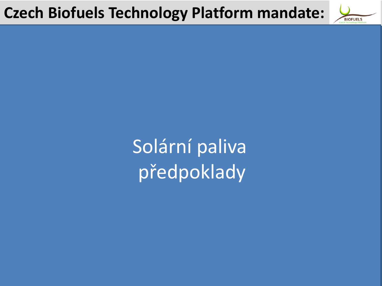následně je biomasa (lignocelulóza) - převedena na biopalivo. Převedena na biopalivo. Převedena na biopalivo.<br>Převedena na biopalivo. Převedena na biopalivo. Převedena na biopalivo. Převedena na biopalivo. Převedena na b Tato konverze vyžaduje energii a práci. Solární paliva předpoklady preupenuu

![](_page_4_Picture_1.jpeg)

![](_page_4_Picture_2.jpeg)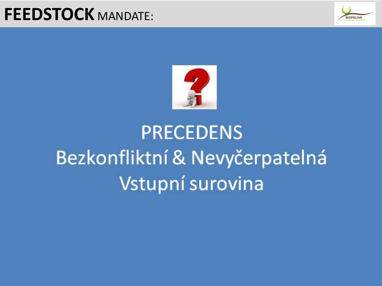## **FEEDSTOCK** MANDATE:

![](_page_5_Picture_1.jpeg)

![](_page_5_Picture_2.jpeg)

# **PRECEDENS** Bezkonfliktní & Nevyčerpatelná Vstupní surovina